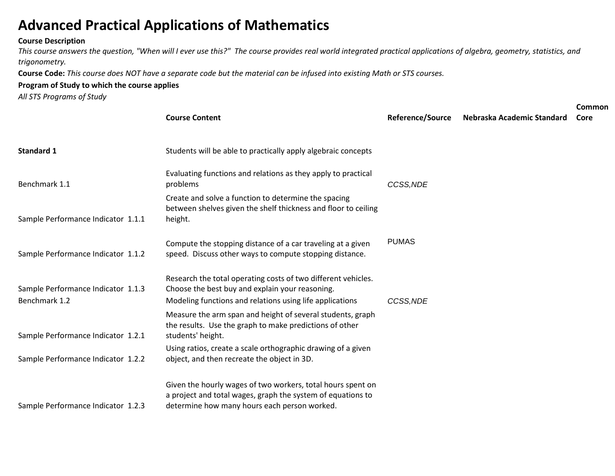## **Advanced Practical Applications of Mathematics**

## **Course Description**

*This course answers the question, "When will I ever use this?" The course provides real world integrated practical applications of algebra, geometry, statistics, and trigonometry.*

**Course Code:** *This course does NOT have a separate code but the material can be infused into existing Math or STS courses.*

## **Program of Study to which the course applies**

*All STS Programs of Study*

|                                                     | <b>Course Content</b>                                                                                                                                                        | <b>Reference/Source</b> | Nebraska Academic Standard | Common<br>Core |
|-----------------------------------------------------|------------------------------------------------------------------------------------------------------------------------------------------------------------------------------|-------------------------|----------------------------|----------------|
| <b>Standard 1</b>                                   | Students will be able to practically apply algebraic concepts                                                                                                                |                         |                            |                |
| Benchmark 1.1                                       | Evaluating functions and relations as they apply to practical<br>problems                                                                                                    | CCSS, NDE               |                            |                |
| Sample Performance Indicator 1.1.1                  | Create and solve a function to determine the spacing<br>between shelves given the shelf thickness and floor to ceiling<br>height.                                            |                         |                            |                |
| Sample Performance Indicator 1.1.2                  | Compute the stopping distance of a car traveling at a given<br>speed. Discuss other ways to compute stopping distance.                                                       | <b>PUMAS</b>            |                            |                |
| Sample Performance Indicator 1.1.3<br>Benchmark 1.2 | Research the total operating costs of two different vehicles.<br>Choose the best buy and explain your reasoning.<br>Modeling functions and relations using life applications | CCSS, NDE               |                            |                |
| Sample Performance Indicator 1.2.1                  | Measure the arm span and height of several students, graph<br>the results. Use the graph to make predictions of other<br>students' height.                                   |                         |                            |                |
| Sample Performance Indicator 1.2.2                  | Using ratios, create a scale orthographic drawing of a given<br>object, and then recreate the object in 3D.                                                                  |                         |                            |                |
| Sample Performance Indicator 1.2.3                  | Given the hourly wages of two workers, total hours spent on<br>a project and total wages, graph the system of equations to<br>determine how many hours each person worked.   |                         |                            |                |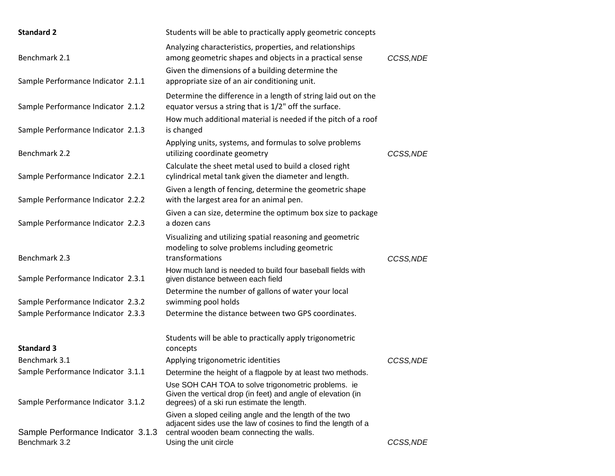| <b>Standard 2</b>                                   | Students will be able to practically apply geometric concepts                                                                                                                                 |           |
|-----------------------------------------------------|-----------------------------------------------------------------------------------------------------------------------------------------------------------------------------------------------|-----------|
| Benchmark 2.1                                       | Analyzing characteristics, properties, and relationships<br>among geometric shapes and objects in a practical sense                                                                           | CCSS, NDE |
| Sample Performance Indicator 2.1.1                  | Given the dimensions of a building determine the<br>appropriate size of an air conditioning unit.                                                                                             |           |
| Sample Performance Indicator 2.1.2                  | Determine the difference in a length of string laid out on the<br>equator versus a string that is 1/2" off the surface.                                                                       |           |
| Sample Performance Indicator 2.1.3                  | How much additional material is needed if the pitch of a roof<br>is changed                                                                                                                   |           |
| Benchmark 2.2                                       | Applying units, systems, and formulas to solve problems<br>utilizing coordinate geometry                                                                                                      | CCSS, NDE |
| Sample Performance Indicator 2.2.1                  | Calculate the sheet metal used to build a closed right<br>cylindrical metal tank given the diameter and length.                                                                               |           |
| Sample Performance Indicator 2.2.2                  | Given a length of fencing, determine the geometric shape<br>with the largest area for an animal pen.                                                                                          |           |
| Sample Performance Indicator 2.2.3                  | Given a can size, determine the optimum box size to package<br>a dozen cans                                                                                                                   |           |
| Benchmark 2.3                                       | Visualizing and utilizing spatial reasoning and geometric<br>modeling to solve problems including geometric<br>transformations                                                                | CCSS, NDE |
| Sample Performance Indicator 2.3.1                  | How much land is needed to build four baseball fields with<br>given distance between each field                                                                                               |           |
| Sample Performance Indicator 2.3.2                  | Determine the number of gallons of water your local<br>swimming pool holds                                                                                                                    |           |
| Sample Performance Indicator 2.3.3                  | Determine the distance between two GPS coordinates.                                                                                                                                           |           |
| <b>Standard 3</b>                                   | Students will be able to practically apply trigonometric<br>concepts                                                                                                                          |           |
| Benchmark 3.1                                       | Applying trigonometric identities                                                                                                                                                             | CCSS, NDE |
| Sample Performance Indicator 3.1.1                  | Determine the height of a flagpole by at least two methods.                                                                                                                                   |           |
| Sample Performance Indicator 3.1.2                  | Use SOH CAH TOA to solve trigonometric problems. ie<br>Given the vertical drop (in feet) and angle of elevation (in<br>degrees) of a ski run estimate the length.                             |           |
| Sample Performance Indicator 3.1.3<br>Benchmark 3.2 | Given a sloped ceiling angle and the length of the two<br>adjacent sides use the law of cosines to find the length of a<br>central wooden beam connecting the walls.<br>Using the unit circle | CCSS, NDE |